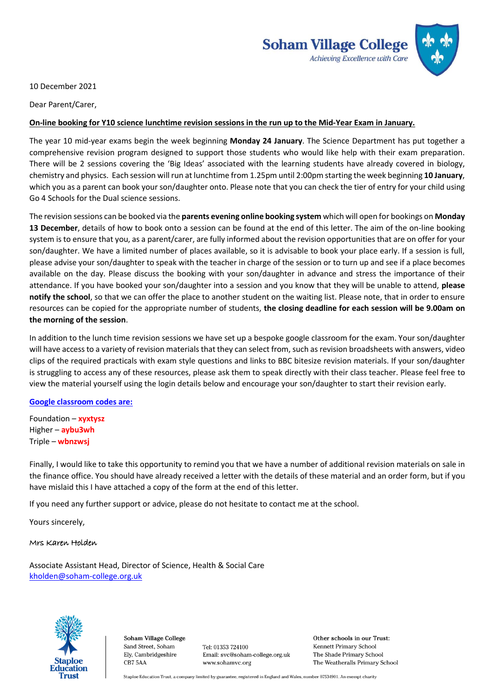

10 December 2021

Dear Parent/Carer,

## **On-line booking for Y10 science lunchtime revision sessions in the run up to the Mid-Year Exam in January.**

The year 10 mid-year exams begin the week beginning **Monday 24 January**. The Science Department has put together a comprehensive revision program designed to support those students who would like help with their exam preparation. There will be 2 sessions covering the 'Big Ideas' associated with the learning students have already covered in biology, chemistry and physics. Each session will run at lunchtime from 1.25pm until 2:00pm starting the week beginning **10 January**, which you as a parent can book your son/daughter onto. Please note that you can check the tier of entry for your child using Go 4 Schools for the Dual science sessions.

The revision sessions can be booked via the **parents evening online booking system** which will open for bookings on **Monday 13 December**, details of how to book onto a session can be found at the end of this letter. The aim of the on-line booking system is to ensure that you, as a parent/carer, are fully informed about the revision opportunities that are on offer for your son/daughter. We have a limited number of places available, so it is advisable to book your place early. If a session is full, please advise your son/daughter to speak with the teacher in charge of the session or to turn up and see if a place becomes available on the day. Please discuss the booking with your son/daughter in advance and stress the importance of their attendance. If you have booked your son/daughter into a session and you know that they will be unable to attend, **please notify the school**, so that we can offer the place to another student on the waiting list. Please note, that in order to ensure resources can be copied for the appropriate number of students, **the closing deadline for each session will be 9.00am on the morning of the session**.

In addition to the lunch time revision sessions we have set up a bespoke google classroom for the exam. Your son/daughter will have access to a variety of revision materials that they can select from, such as revision broadsheets with answers, video clips of the required practicals with exam style questions and links to BBC bitesize revision materials. If your son/daughter is struggling to access any of these resources, please ask them to speak directly with their class teacher. Please feel free to view the material yourself using the login details below and encourage your son/daughter to start their revision early.

## **Google classroom codes are:**

Foundation – **xyxtysz** Higher – **aybu3wh** Triple – **wbnzwsj**

Finally, I would like to take this opportunity to remind you that we have a number of additional revision materials on sale in the finance office. You should have already received a letter with the details of these material and an order form, but if you have mislaid this I have attached a copy of the form at the end of this letter.

If you need any further support or advice, please do not hesitate to contact me at the school.

Yours sincerely,

#### Mrs Karen Holden

Associate Assistant Head, Director of Science, Health & Social Care [kholden@soham-college.org.uk](mailto:kholden@soham-college.org.uk)



Soham Village College Sand Street, Soham Ely, Cambridgeshire CB75AA

Tel: 01353 724100 Email: svc@soham-college.org.uk www.sohamvc.org

Other schools in our Trust: Kennett Primary School The Shade Primary School The Weatheralls Primary School

Staploe Education Trust, a company limited by guarantee, registered in England and Wales, number 07534901. An exempt charity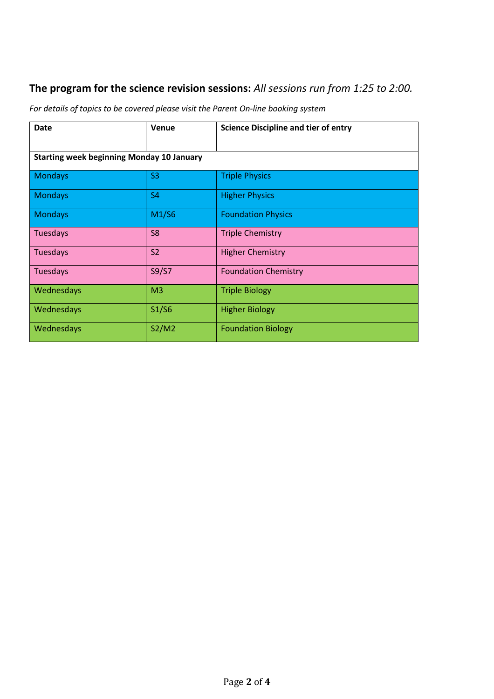# **The program for the science revision sessions:** *All sessions run from 1:25 to 2:00.*

*For details of topics to be covered please visit the Parent On-line booking system*

| <b>Date</b>                                      | Venue          | <b>Science Discipline and tier of entry</b> |
|--------------------------------------------------|----------------|---------------------------------------------|
| <b>Starting week beginning Monday 10 January</b> |                |                                             |
| <b>Mondays</b>                                   | S <sub>3</sub> | <b>Triple Physics</b>                       |
| <b>Mondays</b>                                   | <b>S4</b>      | <b>Higher Physics</b>                       |
| <b>Mondays</b>                                   | M1/S6          | <b>Foundation Physics</b>                   |
| Tuesdays                                         | S <sub>8</sub> | <b>Triple Chemistry</b>                     |
| Tuesdays                                         | <b>S2</b>      | <b>Higher Chemistry</b>                     |
| <b>Tuesdays</b>                                  | S9/S7          | <b>Foundation Chemistry</b>                 |
| Wednesdays                                       | M <sub>3</sub> | <b>Triple Biology</b>                       |
| Wednesdays                                       | S1/S6          | <b>Higher Biology</b>                       |
| Wednesdays                                       | S2/M2          | <b>Foundation Biology</b>                   |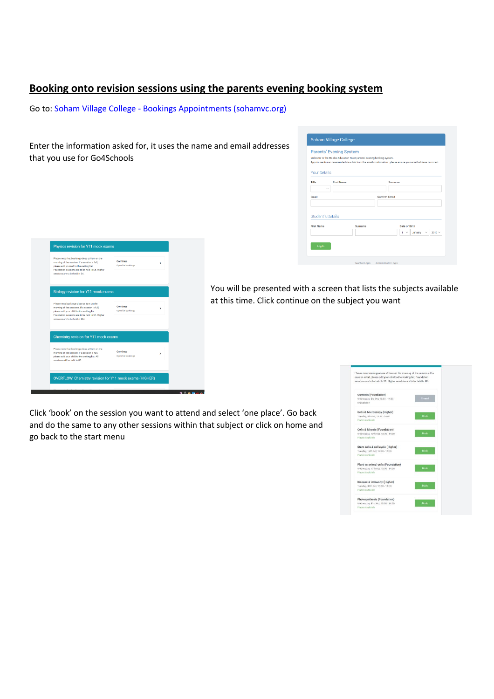# **Booking onto revision sessions using the parents evening booking system**

Go to: Soham Village College - [Bookings Appointments \(sohamvc.org\)](https://www.sohamvc.org/page/?title=Bookings+Appointments&pid=1204)

Enter the information asked for, it uses the name and email addresses that you use for Go4Schools

| <b>Your Details</b> | Appointments can be amended via a link from the email confirmation - please ensure your email address is correct. |         |                      |                                           |             |
|---------------------|-------------------------------------------------------------------------------------------------------------------|---------|----------------------|-------------------------------------------|-------------|
| Title               | <b>First Name</b><br>$\checkmark$                                                                                 |         | Surname              |                                           |             |
| <b>Email</b>        |                                                                                                                   |         | <b>Confirm Email</b> |                                           |             |
| <b>First Name</b>   | <b>Student's Details</b>                                                                                          | Surname |                      | <b>Date of Birth</b>                      |             |
|                     |                                                                                                                   |         |                      | $1 - \sqrt{2}$<br>January<br>$\checkmark$ | $2010 \vee$ |

| Please note that bookings close at 8am on the<br>morning of the session. If a session is full.<br>please add yourself to the waiting list.<br>Foundation sessions are to be held in S5. Higher<br>sessions are to be held in S4. | Continue<br>Open for bookings | s  |  |
|----------------------------------------------------------------------------------------------------------------------------------------------------------------------------------------------------------------------------------|-------------------------------|----|--|
| Biology revision for Y11 mock exams                                                                                                                                                                                              |                               |    |  |
| Please note bookings close at 8am on the<br>morning of the sessions. If a session is full,<br>please add your child to the waiting list.<br>Foundation sessions are to be held in S1. Higher<br>sessions are to be held in M3.   | Continue<br>Open for bookings | ۰, |  |
| Chemistry revision for Y11 mock exams                                                                                                                                                                                            |                               |    |  |
| Please note that bookings close at 8am on the<br>morning of the session. If a session is full.<br>please add your child to the waiting list. All<br>82 at blod ad lise arctises                                                  | Continue<br>Open for bookings | >  |  |
|                                                                                                                                                                                                                                  |                               |    |  |

You will be presented with a screen that lists the subjects available at this time. Click continue on the subject you want

Click 'book' on the session you want to attend and select 'one place'. Go back and do the same to any other sessions within that subject or click on home and go back to the start menu